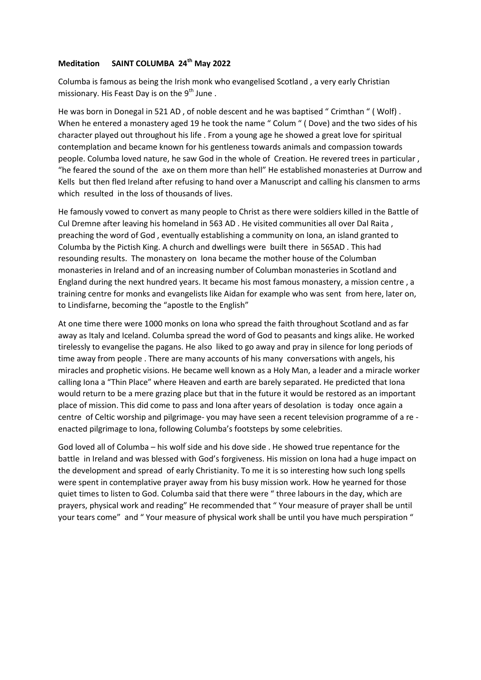### **Meditation SAINT COLUMBA 24th May 2022**

Columba is famous as being the Irish monk who evangelised Scotland , a very early Christian missionary. His Feast Day is on the  $9<sup>th</sup>$  June.

He was born in Donegal in 521 AD , of noble descent and he was baptised " Crimthan " ( Wolf) . When he entered a monastery aged 19 he took the name " Colum " (Dove) and the two sides of his character played out throughout his life . From a young age he showed a great love for spiritual contemplation and became known for his gentleness towards animals and compassion towards people. Columba loved nature, he saw God in the whole of Creation. He revered trees in particular , "he feared the sound of the axe on them more than hell" He established monasteries at Durrow and Kells but then fled Ireland after refusing to hand over a Manuscript and calling his clansmen to arms which resulted in the loss of thousands of lives.

He famously vowed to convert as many people to Christ as there were soldiers killed in the Battle of Cul Dremne after leaving his homeland in 563 AD . He visited communities all over Dal Raita , preaching the word of God , eventually establishing a community on Iona, an island granted to Columba by the Pictish King. A church and dwellings were built there in 565AD . This had resounding results. The monastery on Iona became the mother house of the Columban monasteries in Ireland and of an increasing number of Columban monasteries in Scotland and England during the next hundred years. It became his most famous monastery, a mission centre , a training centre for monks and evangelists like Aidan for example who was sent from here, later on, to Lindisfarne, becoming the "apostle to the English"

At one time there were 1000 monks on Iona who spread the faith throughout Scotland and as far away as Italy and Iceland. Columba spread the word of God to peasants and kings alike. He worked tirelessly to evangelise the pagans. He also liked to go away and pray in silence for long periods of time away from people . There are many accounts of his many conversations with angels, his miracles and prophetic visions. He became well known as a Holy Man, a leader and a miracle worker calling Iona a "Thin Place" where Heaven and earth are barely separated. He predicted that Iona would return to be a mere grazing place but that in the future it would be restored as an important place of mission. This did come to pass and Iona after years of desolation is today once again a centre of Celtic worship and pilgrimage- you may have seen a recent television programme of a re enacted pilgrimage to Iona, following Columba's footsteps by some celebrities.

God loved all of Columba – his wolf side and his dove side . He showed true repentance for the battle in Ireland and was blessed with God's forgiveness. His mission on Iona had a huge impact on the development and spread of early Christianity. To me it is so interesting how such long spells were spent in contemplative prayer away from his busy mission work. How he yearned for those quiet times to listen to God. Columba said that there were " three labours in the day, which are prayers, physical work and reading" He recommended that " Your measure of prayer shall be until your tears come" and " Your measure of physical work shall be until you have much perspiration "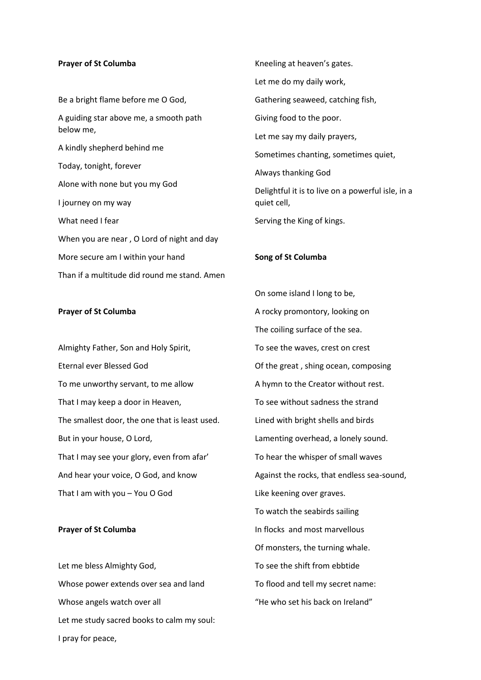#### **Prayer of St Columba**

Be a bright flame before me O God, A guiding star above me, a smooth path below me, A kindly shepherd behind me Today, tonight, forever Alone with none but you my God I journey on my way What need I fear When you are near , O Lord of night and day More secure am I within your hand Than if a multitude did round me stand. Amen

#### **Prayer of St Columba**

Almighty Father, Son and Holy Spirit, Eternal ever Blessed God To me unworthy servant, to me allow That I may keep a door in Heaven, The smallest door, the one that is least used. But in your house, O Lord, That I may see your glory, even from afar' And hear your voice, O God, and know That I am with you – You O God

#### **Prayer of St Columba**

Let me bless Almighty God, Whose power extends over sea and land Whose angels watch over all Let me study sacred books to calm my soul: I pray for peace,

Kneeling at heaven's gates. Let me do my daily work, Gathering seaweed, catching fish, Giving food to the poor. Let me say my daily prayers, Sometimes chanting, sometimes quiet, Always thanking God Delightful it is to live on a powerful isle, in a quiet cell, Serving the King of kings.

# **Song of St Columba**

On some island I long to be, A rocky promontory, looking on The coiling surface of the sea. To see the waves, crest on crest Of the great , shing ocean, composing A hymn to the Creator without rest. To see without sadness the strand Lined with bright shells and birds Lamenting overhead, a lonely sound. To hear the whisper of small waves Against the rocks, that endless sea-sound, Like keening over graves. To watch the seabirds sailing In flocks and most marvellous Of monsters, the turning whale. To see the shift from ebbtide To flood and tell my secret name: "He who set his back on Ireland"